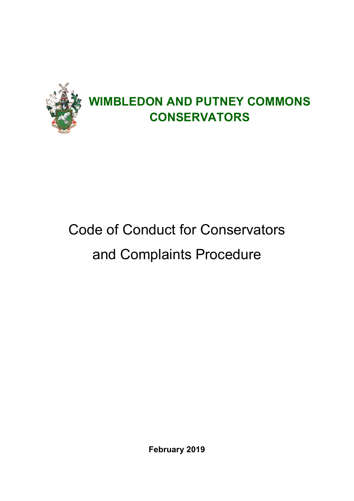

# Code of Conduct for Conservators and Complaints Procedure

**February 2019**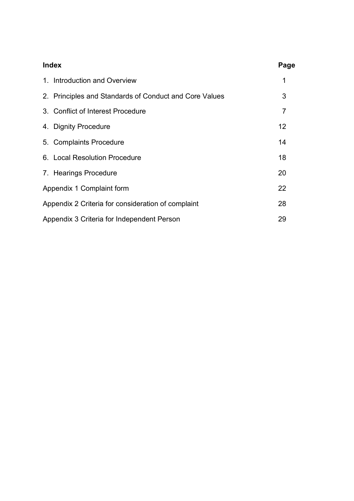| <b>Index</b>                               |                                                        | Page           |
|--------------------------------------------|--------------------------------------------------------|----------------|
|                                            | 1. Introduction and Overview                           | 1              |
|                                            | 2. Principles and Standards of Conduct and Core Values | 3              |
|                                            | 3. Conflict of Interest Procedure                      | $\overline{7}$ |
|                                            | 4. Dignity Procedure                                   | 12             |
|                                            | 5. Complaints Procedure                                | 14             |
|                                            | 6. Local Resolution Procedure                          | 18             |
|                                            | 7. Hearings Procedure                                  | 20             |
|                                            | Appendix 1 Complaint form                              | 22             |
|                                            | Appendix 2 Criteria for consideration of complaint     | 28             |
| Appendix 3 Criteria for Independent Person |                                                        | 29             |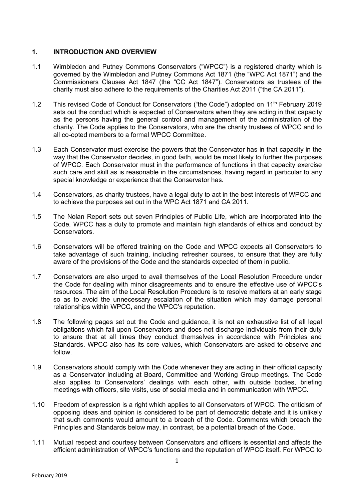## **1. INTRODUCTION AND OVERVIEW**

- 1.1 Wimbledon and Putney Commons Conservators ("WPCC") is a registered charity which is governed by the Wimbledon and Putney Commons Act 1871 (the "WPC Act 1871") and the Commissioners Clauses Act 1847 (the "CC Act 1847"). Conservators as trustees of the charity must also adhere to the requirements of the Charities Act 2011 ("the CA 2011").
- 1.2 This revised Code of Conduct for Conservators ("the Code") adopted on 11<sup>th</sup> February 2019 sets out the conduct which is expected of Conservators when they are acting in that capacity as the persons having the general control and management of the administration of the charity. The Code applies to the Conservators, who are the charity trustees of WPCC and to all co-opted members to a formal WPCC Committee.
- 1.3 Each Conservator must exercise the powers that the Conservator has in that capacity in the way that the Conservator decides, in good faith, would be most likely to further the purposes of WPCC. Each Conservator must in the performance of functions in that capacity exercise such care and skill as is reasonable in the circumstances, having regard in particular to any special knowledge or experience that the Conservator has.
- 1.4 Conservators, as charity trustees, have a legal duty to act in the best interests of WPCC and to achieve the purposes set out in the WPC Act 1871 and CA 2011.
- 1.5 The Nolan Report sets out seven Principles of Public Life, which are incorporated into the Code. WPCC has a duty to promote and maintain high standards of ethics and conduct by Conservators.
- 1.6 Conservators will be offered training on the Code and WPCC expects all Conservators to take advantage of such training, including refresher courses, to ensure that they are fully aware of the provisions of the Code and the standards expected of them in public.
- 1.7 Conservators are also urged to avail themselves of the Local Resolution Procedure under the Code for dealing with minor disagreements and to ensure the effective use of WPCC's resources. The aim of the Local Resolution Procedure is to resolve matters at an early stage so as to avoid the unnecessary escalation of the situation which may damage personal relationships within WPCC, and the WPCC's reputation.
- 1.8 The following pages set out the Code and guidance, it is not an exhaustive list of all legal obligations which fall upon Conservators and does not discharge individuals from their duty to ensure that at all times they conduct themselves in accordance with Principles and Standards. WPCC also has its core values, which Conservators are asked to observe and follow.
- 1.9 Conservators should comply with the Code whenever they are acting in their official capacity as a Conservator including at Board, Committee and Working Group meetings. The Code also applies to Conservators' dealings with each other, with outside bodies, briefing meetings with officers, site visits, use of social media and in communication with WPCC.
- 1.10 Freedom of expression is a right which applies to all Conservators of WPCC. The criticism of opposing ideas and opinion is considered to be part of democratic debate and it is unlikely that such comments would amount to a breach of the Code. Comments which breach the Principles and Standards below may, in contrast, be a potential breach of the Code.
- 1.11 Mutual respect and courtesy between Conservators and officers is essential and affects the efficient administration of WPCC's functions and the reputation of WPCC itself. For WPCC to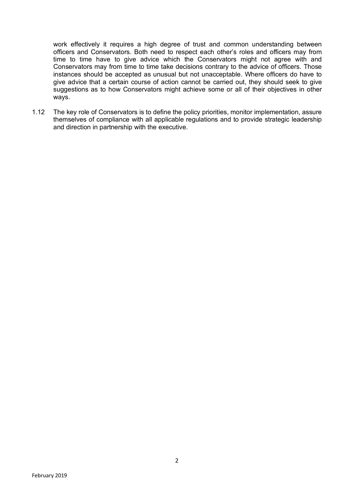work effectively it requires a high degree of trust and common understanding between officers and Conservators. Both need to respect each other's roles and officers may from time to time have to give advice which the Conservators might not agree with and Conservators may from time to time take decisions contrary to the advice of officers. Those instances should be accepted as unusual but not unacceptable. Where officers do have to give advice that a certain course of action cannot be carried out, they should seek to give suggestions as to how Conservators might achieve some or all of their objectives in other ways.

1.12 The key role of Conservators is to define the policy priorities, monitor implementation, assure themselves of compliance with all applicable regulations and to provide strategic leadership and direction in partnership with the executive.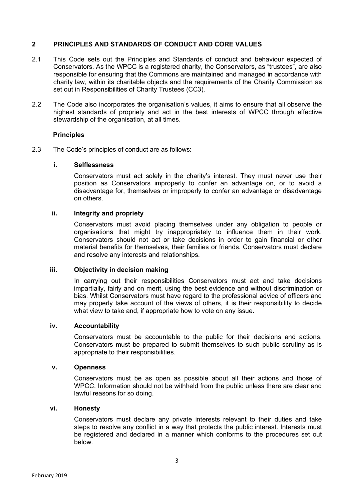#### **2 PRINCIPLES AND STANDARDS OF CONDUCT AND CORE VALUES**

- 2.1 This Code sets out the Principles and Standards of conduct and behaviour expected of Conservators. As the WPCC is a registered charity, the Conservators, as "trustees", are also responsible for ensuring that the Commons are maintained and managed in accordance with charity law, within its charitable objects and the requirements of the Charity Commission as set out in Responsibilities of Charity Trustees (CC3).
- 2.2 The Code also incorporates the organisation's values, it aims to ensure that all observe the highest standards of propriety and act in the best interests of WPCC through effective stewardship of the organisation, at all times.

#### **Principles**

2.3 The Code's principles of conduct are as follows:

#### **i. Selflessness**

Conservators must act solely in the charity's interest. They must never use their position as Conservators improperly to confer an advantage on, or to avoid a disadvantage for, themselves or improperly to confer an advantage or disadvantage on others.

### **ii. Integrity and propriety**

Conservators must avoid placing themselves under any obligation to people or organisations that might try inappropriately to influence them in their work. Conservators should not act or take decisions in order to gain financial or other material benefits for themselves, their families or friends. Conservators must declare and resolve any interests and relationships.

#### **iii. Objectivity in decision making**

In carrying out their responsibilities Conservators must act and take decisions impartially, fairly and on merit, using the best evidence and without discrimination or bias. Whilst Conservators must have regard to the professional advice of officers and may properly take account of the views of others, it is their responsibility to decide what view to take and, if appropriate how to vote on any issue.

#### **iv. Accountability**

Conservators must be accountable to the public for their decisions and actions. Conservators must be prepared to submit themselves to such public scrutiny as is appropriate to their responsibilities.

#### **v. Openness**

Conservators must be as open as possible about all their actions and those of WPCC. Information should not be withheld from the public unless there are clear and lawful reasons for so doing.

#### **vi. Honesty**

Conservators must declare any private interests relevant to their duties and take steps to resolve any conflict in a way that protects the public interest. Interests must be registered and declared in a manner which conforms to the procedures set out below.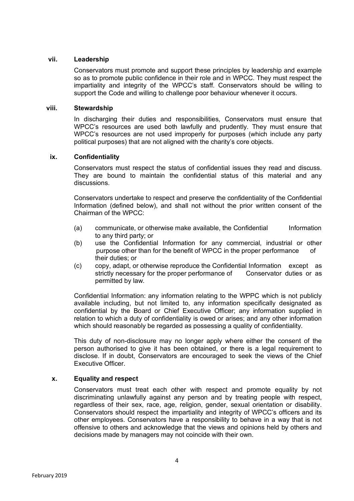#### **vii. Leadership**

Conservators must promote and support these principles by leadership and example so as to promote public confidence in their role and in WPCC. They must respect the impartiality and integrity of the WPCC's staff. Conservators should be willing to support the Code and willing to challenge poor behaviour whenever it occurs.

#### **viii. Stewardship**

In discharging their duties and responsibilities, Conservators must ensure that WPCC's resources are used both lawfully and prudently. They must ensure that WPCC's resources are not used improperly for purposes (which include any party political purposes) that are not aligned with the charity's core objects.

#### **ix. Confidentiality**

Conservators must respect the status of confidential issues they read and discuss. They are bound to maintain the confidential status of this material and any discussions.

Conservators undertake to respect and preserve the confidentiality of the Confidential Information (defined below), and shall not without the prior written consent of the Chairman of the WPCC:

- (a) communicate, or otherwise make available, the Confidential Information to any third party; or
- (b) use the Confidential Information for any commercial, industrial or other purpose other than for the benefit of WPCC in the proper performance of their duties; or
- (c) copy, adapt, or otherwise reproduce the Confidential Information except as strictly necessary for the proper performance of Conservator duties or as permitted by law.

Confidential Information: any information relating to the WPPC which is not publicly available including, but not limited to, any information specifically designated as confidential by the Board or Chief Executive Officer; any information supplied in relation to which a duty of confidentiality is owed or arises; and any other information which should reasonably be regarded as possessing a quality of confidentiality.

This duty of non-disclosure may no longer apply where either the consent of the person authorised to give it has been obtained, or there is a legal requirement to disclose. If in doubt, Conservators are encouraged to seek the views of the Chief Executive Officer.

#### **x. Equality and respect**

Conservators must treat each other with respect and promote equality by not discriminating unlawfully against any person and by treating people with respect, regardless of their sex, race, age, religion, gender, sexual orientation or disability. Conservators should respect the impartiality and integrity of WPCC's officers and its other employees. Conservators have a responsibility to behave in a way that is not offensive to others and acknowledge that the views and opinions held by others and decisions made by managers may not coincide with their own.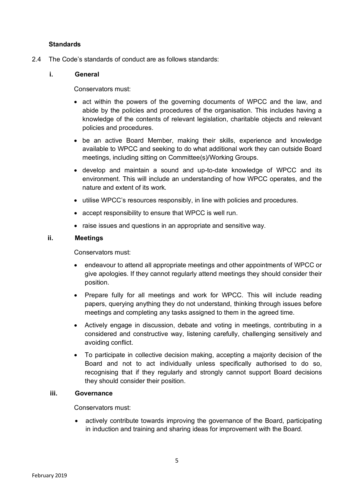## **Standards**

2.4 The Code's standards of conduct are as follows standards:

## **i. General**

Conservators must:

- act within the powers of the governing documents of WPCC and the law, and abide by the policies and procedures of the organisation. This includes having a knowledge of the contents of relevant legislation, charitable objects and relevant policies and procedures.
- be an active Board Member, making their skills, experience and knowledge available to WPCC and seeking to do what additional work they can outside Board meetings, including sitting on Committee(s)/Working Groups.
- develop and maintain a sound and up-to-date knowledge of WPCC and its environment. This will include an understanding of how WPCC operates, and the nature and extent of its work.
- utilise WPCC's resources responsibly, in line with policies and procedures.
- accept responsibility to ensure that WPCC is well run.
- raise issues and questions in an appropriate and sensitive way.

## **ii. Meetings**

Conservators must:

- endeavour to attend all appropriate meetings and other appointments of WPCC or give apologies. If they cannot regularly attend meetings they should consider their position.
- Prepare fully for all meetings and work for WPCC. This will include reading papers, querying anything they do not understand, thinking through issues before meetings and completing any tasks assigned to them in the agreed time.
- Actively engage in discussion, debate and voting in meetings, contributing in a considered and constructive way, listening carefully, challenging sensitively and avoiding conflict.
- To participate in collective decision making, accepting a majority decision of the Board and not to act individually unless specifically authorised to do so, recognising that if they regularly and strongly cannot support Board decisions they should consider their position.

## **iii. Governance**

Conservators must:

• actively contribute towards improving the governance of the Board, participating in induction and training and sharing ideas for improvement with the Board.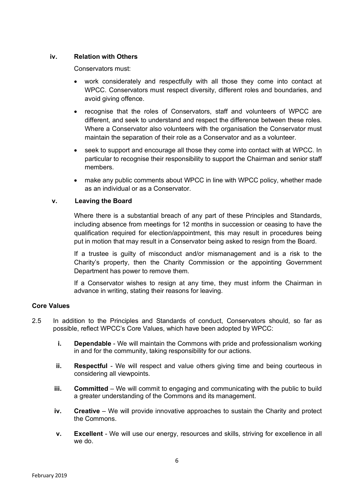## **iv. Relation with Others**

Conservators must:

- work considerately and respectfully with all those they come into contact at WPCC. Conservators must respect diversity, different roles and boundaries, and avoid giving offence.
- recognise that the roles of Conservators, staff and volunteers of WPCC are different, and seek to understand and respect the difference between these roles. Where a Conservator also volunteers with the organisation the Conservator must maintain the separation of their role as a Conservator and as a volunteer.
- seek to support and encourage all those they come into contact with at WPCC. In particular to recognise their responsibility to support the Chairman and senior staff members.
- make any public comments about WPCC in line with WPCC policy, whether made as an individual or as a Conservator.

## **v. Leaving the Board**

Where there is a substantial breach of any part of these Principles and Standards, including absence from meetings for 12 months in succession or ceasing to have the qualification required for election/appointment, this may result in procedures being put in motion that may result in a Conservator being asked to resign from the Board.

If a trustee is guilty of misconduct and/or mismanagement and is a risk to the Charity's property, then the Charity Commission or the appointing Government Department has power to remove them.

If a Conservator wishes to resign at any time, they must inform the Chairman in advance in writing, stating their reasons for leaving.

## **Core Values**

- 2.5 In addition to the Principles and Standards of conduct, Conservators should, so far as possible, reflect WPCC's Core Values, which have been adopted by WPCC:
	- **i. Dependable** We will maintain the Commons with pride and professionalism working in and for the community, taking responsibility for our actions.
	- **ii. Respectful** We will respect and value others giving time and being courteous in considering all viewpoints.
	- **iii. Committed** We will commit to engaging and communicating with the public to build a greater understanding of the Commons and its management.
	- **iv. Creative** We will provide innovative approaches to sustain the Charity and protect the Commons.
	- **v. Excellent** We will use our energy, resources and skills, striving for excellence in all we do.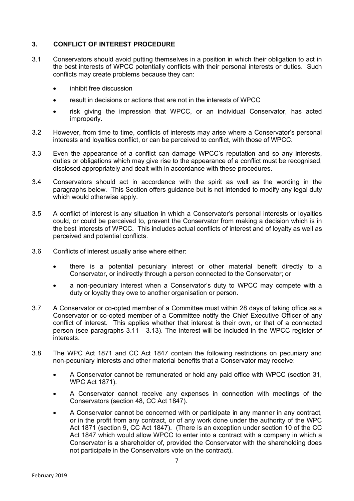## **3. CONFLICT OF INTEREST PROCEDURE**

- 3.1 Conservators should avoid putting themselves in a position in which their obligation to act in the best interests of WPCC potentially conflicts with their personal interests or duties. Such conflicts may create problems because they can:
	- inhibit free discussion
	- result in decisions or actions that are not in the interests of WPCC
	- risk giving the impression that WPCC, or an individual Conservator, has acted improperly.
- 3.2 However, from time to time, conflicts of interests may arise where a Conservator's personal interests and loyalties conflict, or can be perceived to conflict, with those of WPCC.
- 3.3 Even the appearance of a conflict can damage WPCC's reputation and so any interests, duties or obligations which may give rise to the appearance of a conflict must be recognised, disclosed appropriately and dealt with in accordance with these procedures.
- 3.4 Conservators should act in accordance with the spirit as well as the wording in the paragraphs below. This Section offers guidance but is not intended to modify any legal duty which would otherwise apply.
- 3.5 A conflict of interest is any situation in which a Conservator's personal interests or loyalties could, or could be perceived to, prevent the Conservator from making a decision which is in the best interests of WPCC. This includes actual conflicts of interest and of loyalty as well as perceived and potential conflicts.
- 3.6 Conflicts of interest usually arise where either:
	- there is a potential pecuniary interest or other material benefit directly to a Conservator, or indirectly through a person connected to the Conservator; or
	- a non-pecuniary interest when a Conservator's duty to WPCC may compete with a duty or loyalty they owe to another organisation or person.
- 3.7 A Conservator or co-opted member of a Committee must within 28 days of taking office as a Conservator or co-opted member of a Committee notify the Chief Executive Officer of any conflict of interest. This applies whether that interest is their own, or that of a connected person (see paragraphs 3.11 - 3.13). The interest will be included in the WPCC register of interests.
- 3.8 The WPC Act 1871 and CC Act 1847 contain the following restrictions on pecuniary and non-pecuniary interests and other material benefits that a Conservator may receive:
	- A Conservator cannot be remunerated or hold any paid office with WPCC (section 31, WPC Act 1871).
	- A Conservator cannot receive any expenses in connection with meetings of the Conservators (section 48, CC Act 1847).
	- A Conservator cannot be concerned with or participate in any manner in any contract, or in the profit from any contract, or of any work done under the authority of the WPC Act 1871 (section 9, CC Act 1847). (There is an exception under section 10 of the CC Act 1847 which would allow WPCC to enter into a contract with a company in which a Conservator is a shareholder of, provided the Conservator with the shareholding does not participate in the Conservators vote on the contract).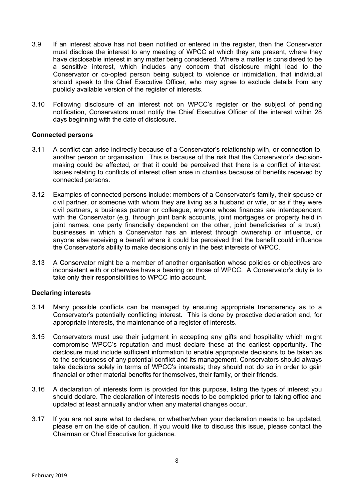- 3.9 If an interest above has not been notified or entered in the register, then the Conservator must disclose the interest to any meeting of WPCC at which they are present, where they have disclosable interest in any matter being considered. Where a matter is considered to be a sensitive interest, which includes any concern that disclosure might lead to the Conservator or co-opted person being subject to violence or intimidation, that individual should speak to the Chief Executive Officer, who may agree to exclude details from any publicly available version of the register of interests.
- 3.10 Following disclosure of an interest not on WPCC's register or the subject of pending notification, Conservators must notify the Chief Executive Officer of the interest within 28 days beginning with the date of disclosure.

#### **Connected persons**

- 3.11 A conflict can arise indirectly because of a Conservator's relationship with, or connection to, another person or organisation. This is because of the risk that the Conservator's decisionmaking could be affected, or that it could be perceived that there is a conflict of interest. Issues relating to conflicts of interest often arise in charities because of benefits received by connected persons.
- 3.12 Examples of connected persons include: members of a Conservator's family, their spouse or civil partner, or someone with whom they are living as a husband or wife, or as if they were civil partners, a business partner or colleague, anyone whose finances are interdependent with the Conservator (e.g. through joint bank accounts, joint mortgages or property held in joint names, one party financially dependent on the other, joint beneficiaries of a trust), businesses in which a Conservator has an interest through ownership or influence, or anyone else receiving a benefit where it could be perceived that the benefit could influence the Conservator's ability to make decisions only in the best interests of WPCC.
- 3.13 A Conservator might be a member of another organisation whose policies or objectives are inconsistent with or otherwise have a bearing on those of WPCC. A Conservator's duty is to take only their responsibilities to WPCC into account.

#### **Declaring interests**

- 3.14 Many possible conflicts can be managed by ensuring appropriate transparency as to a Conservator's potentially conflicting interest. This is done by proactive declaration and, for appropriate interests, the maintenance of a register of interests.
- 3.15 Conservators must use their judgment in accepting any gifts and hospitality which might compromise WPCC's reputation and must declare these at the earliest opportunity. The disclosure must include sufficient information to enable appropriate decisions to be taken as to the seriousness of any potential conflict and its management. Conservators should always take decisions solely in terms of WPCC's interests; they should not do so in order to gain financial or other material benefits for themselves, their family, or their friends.
- 3.16 A declaration of interests form is provided for this purpose, listing the types of interest you should declare. The declaration of interests needs to be completed prior to taking office and updated at least annually and/or when any material changes occur.
- 3.17 If you are not sure what to declare, or whether/when your declaration needs to be updated, please err on the side of caution. If you would like to discuss this issue, please contact the Chairman or Chief Executive for guidance.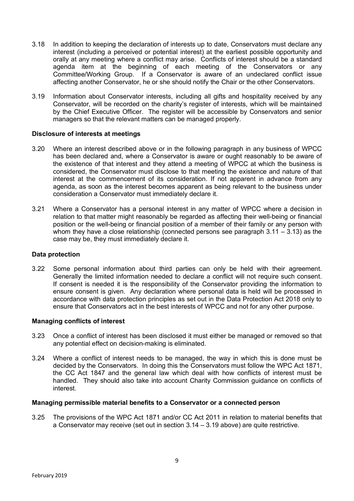- 3.18 In addition to keeping the declaration of interests up to date, Conservators must declare any interest (including a perceived or potential interest) at the earliest possible opportunity and orally at any meeting where a conflict may arise. Conflicts of interest should be a standard agenda item at the beginning of each meeting of the Conservators or any Committee/Working Group. If a Conservator is aware of an undeclared conflict issue affecting another Conservator, he or she should notify the Chair or the other Conservators.
- 3.19 Information about Conservator interests, including all gifts and hospitality received by any Conservator, will be recorded on the charity's register of interests, which will be maintained by the Chief Executive Officer. The register will be accessible by Conservators and senior managers so that the relevant matters can be managed properly.

#### **Disclosure of interests at meetings**

- 3.20 Where an interest described above or in the following paragraph in any business of WPCC has been declared and, where a Conservator is aware or ought reasonably to be aware of the existence of that interest and they attend a meeting of WPCC at which the business is considered, the Conservator must disclose to that meeting the existence and nature of that interest at the commencement of its consideration. If not apparent in advance from any agenda, as soon as the interest becomes apparent as being relevant to the business under consideration a Conservator must immediately declare it.
- 3.21 Where a Conservator has a personal interest in any matter of WPCC where a decision in relation to that matter might reasonably be regarded as affecting their well-being or financial position or the well-being or financial position of a member of their family or any person with whom they have a close relationship (connected persons see paragraph 3.11 – 3.13) as the case may be, they must immediately declare it.

#### **Data protection**

3.22 Some personal information about third parties can only be held with their agreement. Generally the limited information needed to declare a conflict will not require such consent. If consent is needed it is the responsibility of the Conservator providing the information to ensure consent is given. Any declaration where personal data is held will be processed in accordance with data protection principles as set out in the Data Protection Act 2018 only to ensure that Conservators act in the best interests of WPCC and not for any other purpose.

#### **Managing conflicts of interest**

- 3.23 Once a conflict of interest has been disclosed it must either be managed or removed so that any potential effect on decision-making is eliminated.
- 3.24 Where a conflict of interest needs to be managed, the way in which this is done must be decided by the Conservators. In doing this the Conservators must follow the WPC Act 1871, the CC Act 1847 and the general law which deal with how conflicts of interest must be handled. They should also take into account Charity Commission guidance on conflicts of interest.

#### **Managing permissible material benefits to a Conservator or a connected person**

3.25 The provisions of the WPC Act 1871 and/or CC Act 2011 in relation to material benefits that a Conservator may receive (set out in section 3.14 – 3.19 above) are quite restrictive.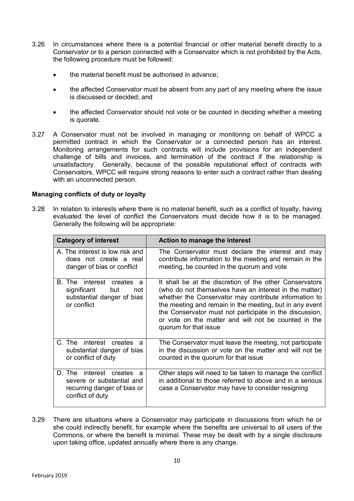- 3.26 In circumstances where there is a potential financial or other material benefit directly to a Conservator or to a person connected with a Conservator which is not prohibited by the Acts, the following procedure must be followed:
	- the material benefit must be authorised in advance;
	- the affected Conservator must be absent from any part of any meeting where the issue is discussed or decided; and
	- the affected Conservator should not vote or be counted in deciding whether a meeting is quorate.
- 3.27 A Conservator must not be involved in managing or monitoring on behalf of WPCC a permitted contract in which the Conservator or a connected person has an interest. Monitoring arrangements for such contracts will include provisions for an independent challenge of bills and invoices, and termination of the contract if the relationship is unsatisfactory. Generally, because of the possible reputational effect of contracts with Conservators, WPCC will require strong reasons to enter such a contract rather than dealing with an unconnected person.

#### **Managing conflicts of duty or loyalty**

3.28 In relation to interests where there is no material benefit, such as a conflict of loyalty, having evaluated the level of conflict the Conservators must decide how it is to be managed. Generally the following will be appropriate:

| <b>Category of interest</b>                                                                               | Action to manage the interest                                                                                                                                                                                                                                                                                                                                                     |  |  |
|-----------------------------------------------------------------------------------------------------------|-----------------------------------------------------------------------------------------------------------------------------------------------------------------------------------------------------------------------------------------------------------------------------------------------------------------------------------------------------------------------------------|--|--|
| A. The interest is low risk and<br>does not create a real<br>danger of bias or conflict                   | The Conservator must declare the interest and may<br>contribute information to the meeting and remain in the<br>meeting, be counted in the quorum and vote                                                                                                                                                                                                                        |  |  |
| B. The<br>interest creates<br>a<br>significant<br>but<br>not<br>substantial danger of bias<br>or conflict | It shall be at the discretion of the other Conservators<br>(who do not themselves have an interest in the matter)<br>whether the Conservator may contribute information to<br>the meeting and remain in the meeting, but in any event<br>the Conservator must not participate in the discussion,<br>or vote on the matter and will not be counted in the<br>quorum for that issue |  |  |
| C. The interest creates<br>a<br>substantial danger of bias<br>or conflict of duty                         | The Conservator must leave the meeting, not participate<br>in the discussion or vote on the matter and will not be<br>counted in the quorum for that issue                                                                                                                                                                                                                        |  |  |
| D. The interest creates a<br>severe or substantial and<br>recurring danger of bias or<br>conflict of duty | Other steps will need to be taken to manage the conflict<br>in additional to those referred to above and in a serious<br>case a Conservator may have to consider resigning                                                                                                                                                                                                        |  |  |

3.29 There are situations where a Conservator may participate in discussions from which he or she could indirectly benefit, for example where the benefits are universal to all users of the Commons, or where the benefit is minimal. These may be dealt with by a single disclosure upon taking office, updated annually where there is any change.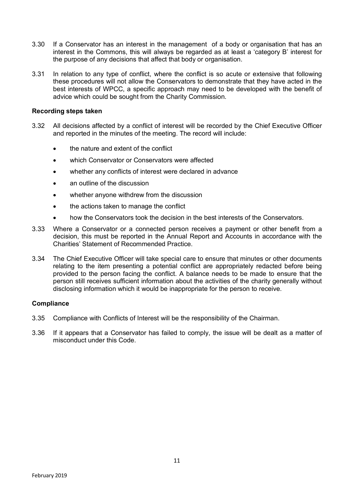- 3.30 If a Conservator has an interest in the management of a body or organisation that has an interest in the Commons, this will always be regarded as at least a 'category B' interest for the purpose of any decisions that affect that body or organisation.
- 3.31 In relation to any type of conflict, where the conflict is so acute or extensive that following these procedures will not allow the Conservators to demonstrate that they have acted in the best interests of WPCC, a specific approach may need to be developed with the benefit of advice which could be sought from the Charity Commission.

#### **Recording steps taken**

- 3.32 All decisions affected by a conflict of interest will be recorded by the Chief Executive Officer and reported in the minutes of the meeting. The record will include:
	- the nature and extent of the conflict
	- which Conservator or Conservators were affected
	- whether any conflicts of interest were declared in advance
	- an outline of the discussion
	- whether anyone withdrew from the discussion
	- the actions taken to manage the conflict
	- how the Conservators took the decision in the best interests of the Conservators.
- 3.33 Where a Conservator or a connected person receives a payment or other benefit from a decision, this must be reported in the Annual Report and Accounts in accordance with the Charities' Statement of Recommended Practice.
- 3.34 The Chief Executive Officer will take special care to ensure that minutes or other documents relating to the item presenting a potential conflict are appropriately redacted before being provided to the person facing the conflict. A balance needs to be made to ensure that the person still receives sufficient information about the activities of the charity generally without disclosing information which it would be inappropriate for the person to receive.

#### **Compliance**

- 3.35 Compliance with Conflicts of Interest will be the responsibility of the Chairman.
- 3.36 If it appears that a Conservator has failed to comply, the issue will be dealt as a matter of misconduct under this Code.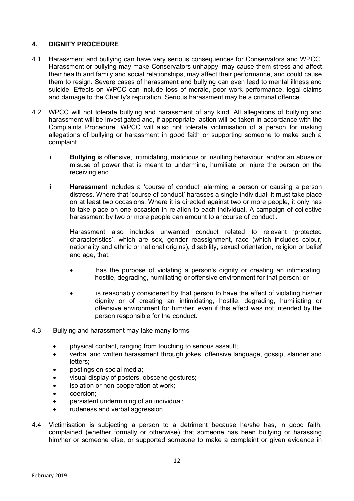## **4. DIGNITY PROCEDURE**

- 4.1 Harassment and bullying can have very serious consequences for Conservators and WPCC. Harassment or bullying may make Conservators unhappy, may cause them stress and affect their health and family and social relationships, may affect their performance, and could cause them to resign. Severe cases of harassment and bullying can even lead to mental illness and suicide. Effects on WPCC can include loss of morale, poor work performance, legal claims and damage to the Charity's reputation. Serious harassment may be a criminal offence.
- 4.2 WPCC will not tolerate bullying and harassment of any kind. All allegations of bullying and harassment will be investigated and, if appropriate, action will be taken in accordance with the Complaints Procedure. WPCC will also not tolerate victimisation of a person for making allegations of bullying or harassment in good faith or supporting someone to make such a complaint.
	- i. **Bullying** is offensive, intimidating, malicious or insulting behaviour, and/or an abuse or misuse of power that is meant to undermine, humiliate or injure the person on the receiving end.
	- ii. **Harassment** includes a 'course of conduct' alarming a person or causing a person distress. Where that 'course of conduct' harasses a single individual, it must take place on at least two occasions. Where it is directed against two or more people, it only has to take place on one occasion in relation to each individual. A campaign of collective harassment by two or more people can amount to a 'course of conduct'.

Harassment also includes unwanted conduct related to relevant 'protected characteristics', which are sex, gender reassignment, race (which includes colour, nationality and ethnic or national origins), disability, sexual orientation, religion or belief and age, that:

- has the purpose of violating a person's dignity or creating an intimidating, hostile, degrading, humiliating or offensive environment for that person; or
- is reasonably considered by that person to have the effect of violating his/her dignity or of creating an intimidating, hostile, degrading, humiliating or offensive environment for him/her, even if this effect was not intended by the person responsible for the conduct.
- 4.3 Bullying and harassment may take many forms:
	- physical contact, ranging from touching to serious assault;
	- verbal and written harassment through jokes, offensive language, gossip, slander and letters;
	- postings on social media;
	- visual display of posters, obscene gestures;
	- isolation or non-cooperation at work;
	- coercion:
	- persistent undermining of an individual;
	- rudeness and verbal aggression.
- 4.4 Victimisation is subjecting a person to a detriment because he/she has, in good faith, complained (whether formally or otherwise) that someone has been bullying or harassing him/her or someone else, or supported someone to make a complaint or given evidence in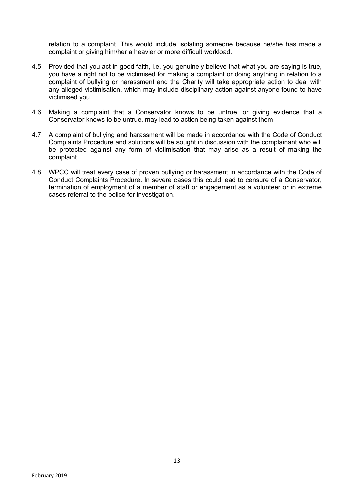relation to a complaint. This would include isolating someone because he/she has made a complaint or giving him/her a heavier or more difficult workload.

- 4.5 Provided that you act in good faith, i.e. you genuinely believe that what you are saying is true, you have a right not to be victimised for making a complaint or doing anything in relation to a complaint of bullying or harassment and the Charity will take appropriate action to deal with any alleged victimisation, which may include disciplinary action against anyone found to have victimised you.
- 4.6 Making a complaint that a Conservator knows to be untrue, or giving evidence that a Conservator knows to be untrue, may lead to action being taken against them.
- 4.7 A complaint of bullying and harassment will be made in accordance with the Code of Conduct Complaints Procedure and solutions will be sought in discussion with the complainant who will be protected against any form of victimisation that may arise as a result of making the complaint.
- 4.8 WPCC will treat every case of proven bullying or harassment in accordance with the Code of Conduct Complaints Procedure. In severe cases this could lead to censure of a Conservator, termination of employment of a member of staff or engagement as a volunteer or in extreme cases referral to the police for investigation.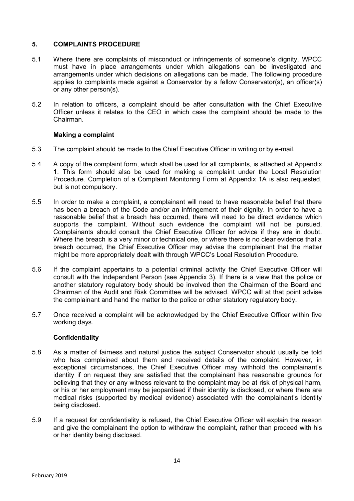## **5. COMPLAINTS PROCEDURE**

- 5.1 Where there are complaints of misconduct or infringements of someone's dignity, WPCC must have in place arrangements under which allegations can be investigated and arrangements under which decisions on allegations can be made. The following procedure applies to complaints made against a Conservator by a fellow Conservator(s), an officer(s) or any other person(s).
- 5.2 In relation to officers, a complaint should be after consultation with the Chief Executive Officer unless it relates to the CEO in which case the complaint should be made to the Chairman.

## **Making a complaint**

- 5.3 The complaint should be made to the Chief Executive Officer in writing or by e-mail.
- 5.4 A copy of the complaint form, which shall be used for all complaints, is attached at Appendix 1. This form should also be used for making a complaint under the Local Resolution Procedure. Completion of a Complaint Monitoring Form at Appendix 1A is also requested, but is not compulsory.
- 5.5 In order to make a complaint, a complainant will need to have reasonable belief that there has been a breach of the Code and/or an infringement of their dignity. In order to have a reasonable belief that a breach has occurred, there will need to be direct evidence which supports the complaint. Without such evidence the complaint will not be pursued. Complainants should consult the Chief Executive Officer for advice if they are in doubt. Where the breach is a very minor or technical one, or where there is no clear evidence that a breach occurred, the Chief Executive Officer may advise the complainant that the matter might be more appropriately dealt with through WPCC's Local Resolution Procedure.
- 5.6 If the complaint appertains to a potential criminal activity the Chief Executive Officer will consult with the Independent Person (see Appendix 3). If there is a view that the police or another statutory regulatory body should be involved then the Chairman of the Board and Chairman of the Audit and Risk Committee will be advised. WPCC will at that point advise the complainant and hand the matter to the police or other statutory regulatory body.
- 5.7 Once received a complaint will be acknowledged by the Chief Executive Officer within five working days.

## **Confidentiality**

- 5.8 As a matter of fairness and natural justice the subject Conservator should usually be told who has complained about them and received details of the complaint. However, in exceptional circumstances, the Chief Executive Officer may withhold the complainant's identity if on request they are satisfied that the complainant has reasonable grounds for believing that they or any witness relevant to the complaint may be at risk of physical harm, or his or her employment may be jeopardised if their identity is disclosed, or where there are medical risks (supported by medical evidence) associated with the complainant's identity being disclosed.
- 5.9 If a request for confidentiality is refused, the Chief Executive Officer will explain the reason and give the complainant the option to withdraw the complaint, rather than proceed with his or her identity being disclosed.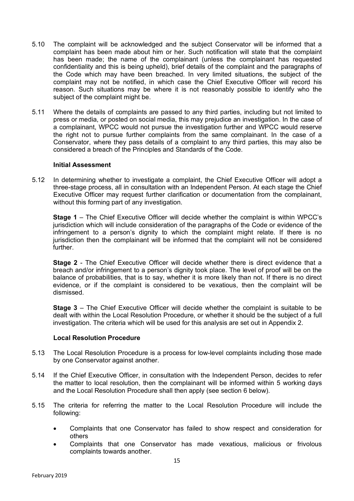- 5.10 The complaint will be acknowledged and the subject Conservator will be informed that a complaint has been made about him or her. Such notification will state that the complaint has been made; the name of the complainant (unless the complainant has requested confidentiality and this is being upheld), brief details of the complaint and the paragraphs of the Code which may have been breached. In very limited situations, the subject of the complaint may not be notified, in which case the Chief Executive Officer will record his reason. Such situations may be where it is not reasonably possible to identify who the subject of the complaint might be.
- 5.11 Where the details of complaints are passed to any third parties, including but not limited to press or media, or posted on social media, this may prejudice an investigation. In the case of a complainant, WPCC would not pursue the investigation further and WPCC would reserve the right not to pursue further complaints from the same complainant. In the case of a Conservator, where they pass details of a complaint to any third parties, this may also be considered a breach of the Principles and Standards of the Code.

#### **Initial Assessment**

5.12 In determining whether to investigate a complaint, the Chief Executive Officer will adopt a three-stage process, all in consultation with an Independent Person. At each stage the Chief Executive Officer may request further clarification or documentation from the complainant, without this forming part of any investigation.

**Stage 1** – The Chief Executive Officer will decide whether the complaint is within WPCC's jurisdiction which will include consideration of the paragraphs of the Code or evidence of the infringement to a person's dignity to which the complaint might relate. If there is no jurisdiction then the complainant will be informed that the complaint will not be considered further.

**Stage 2** - The Chief Executive Officer will decide whether there is direct evidence that a breach and/or infringement to a person's dignity took place. The level of proof will be on the balance of probabilities, that is to say, whether it is more likely than not. If there is no direct evidence, or if the complaint is considered to be vexatious, then the complaint will be dismissed.

**Stage 3** – The Chief Executive Officer will decide whether the complaint is suitable to be dealt with within the Local Resolution Procedure, or whether it should be the subject of a full investigation. The criteria which will be used for this analysis are set out in Appendix 2.

#### **Local Resolution Procedure**

- 5.13 The Local Resolution Procedure is a process for low-level complaints including those made by one Conservator against another.
- 5.14 If the Chief Executive Officer, in consultation with the Independent Person, decides to refer the matter to local resolution, then the complainant will be informed within 5 working days and the Local Resolution Procedure shall then apply (see section 6 below).
- 5.15 The criteria for referring the matter to the Local Resolution Procedure will include the following:
	- Complaints that one Conservator has failed to show respect and consideration for others
	- Complaints that one Conservator has made vexatious, malicious or frivolous complaints towards another.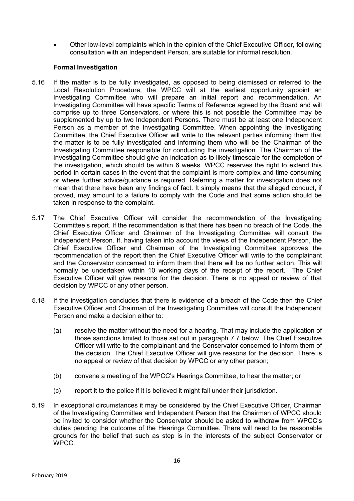• Other low-level complaints which in the opinion of the Chief Executive Officer, following consultation with an Independent Person, are suitable for informal resolution.

## **Formal Investigation**

- 5.16 If the matter is to be fully investigated, as opposed to being dismissed or referred to the Local Resolution Procedure, the WPCC will at the earliest opportunity appoint an Investigating Committee who will prepare an initial report and recommendation. An Investigating Committee will have specific Terms of Reference agreed by the Board and will comprise up to three Conservators, or where this is not possible the Committee may be supplemented by up to two Independent Persons. There must be at least one Independent Person as a member of the Investigating Committee. When appointing the Investigating Committee, the Chief Executive Officer will write to the relevant parties informing them that the matter is to be fully investigated and informing them who will be the Chairman of the Investigating Committee responsible for conducting the investigation. The Chairman of the Investigating Committee should give an indication as to likely timescale for the completion of the investigation, which should be within 6 weeks. WPCC reserves the right to extend this period in certain cases in the event that the complaint is more complex and time consuming or where further advice/guidance is required. Referring a matter for investigation does not mean that there have been any findings of fact. It simply means that the alleged conduct, if proved, may amount to a failure to comply with the Code and that some action should be taken in response to the complaint.
- 5.17 The Chief Executive Officer will consider the recommendation of the Investigating Committee's report. If the recommendation is that there has been no breach of the Code, the Chief Executive Officer and Chairman of the Investigating Committee will consult the Independent Person. If, having taken into account the views of the Independent Person, the Chief Executive Officer and Chairman of the Investigating Committee approves the recommendation of the report then the Chief Executive Officer will write to the complainant and the Conservator concerned to inform them that there will be no further action. This will normally be undertaken within 10 working days of the receipt of the report. The Chief Executive Officer will give reasons for the decision. There is no appeal or review of that decision by WPCC or any other person.
- 5.18 If the investigation concludes that there is evidence of a breach of the Code then the Chief Executive Officer and Chairman of the Investigating Committee will consult the Independent Person and make a decision either to:
	- (a) resolve the matter without the need for a hearing. That may include the application of those sanctions limited to those set out in paragraph 7.7 below. The Chief Executive Officer will write to the complainant and the Conservator concerned to inform them of the decision. The Chief Executive Officer will give reasons for the decision. There is no appeal or review of that decision by WPCC or any other person;
	- (b) convene a meeting of the WPCC's Hearings Committee, to hear the matter; or
	- (c) report it to the police if it is believed it might fall under their jurisdiction.
- 5.19 In exceptional circumstances it may be considered by the Chief Executive Officer, Chairman of the Investigating Committee and Independent Person that the Chairman of WPCC should be invited to consider whether the Conservator should be asked to withdraw from WPCC's duties pending the outcome of the Hearings Committee. There will need to be reasonable grounds for the belief that such as step is in the interests of the subject Conservator or WPCC.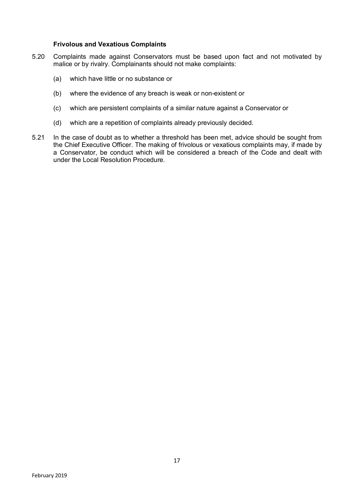#### **Frivolous and Vexatious Complaints**

- 5.20 Complaints made against Conservators must be based upon fact and not motivated by malice or by rivalry. Complainants should not make complaints:
	- (a) which have little or no substance or
	- (b) where the evidence of any breach is weak or non-existent or
	- (c) which are persistent complaints of a similar nature against a Conservator or
	- (d) which are a repetition of complaints already previously decided.
- 5.21 In the case of doubt as to whether a threshold has been met, advice should be sought from the Chief Executive Officer. The making of frivolous or vexatious complaints may, if made by a Conservator, be conduct which will be considered a breach of the Code and dealt with under the Local Resolution Procedure.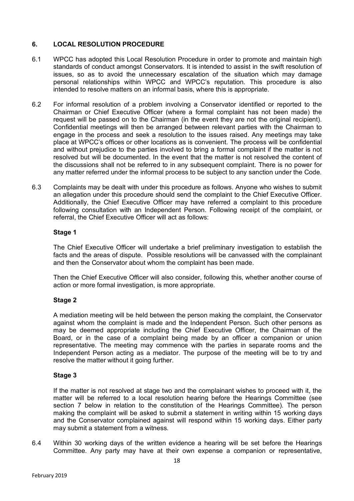# **6. LOCAL RESOLUTION PROCEDURE**

- 6.1 WPCC has adopted this Local Resolution Procedure in order to promote and maintain high standards of conduct amongst Conservators. It is intended to assist in the swift resolution of issues, so as to avoid the unnecessary escalation of the situation which may damage personal relationships within WPCC and WPCC's reputation. This procedure is also intended to resolve matters on an informal basis, where this is appropriate.
- 6.2 For informal resolution of a problem involving a Conservator identified or reported to the Chairman or Chief Executive Officer (where a formal complaint has not been made) the request will be passed on to the Chairman (in the event they are not the original recipient). Confidential meetings will then be arranged between relevant parties with the Chairman to engage in the process and seek a resolution to the issues raised. Any meetings may take place at WPCC's offices or other locations as is convenient. The process will be confidential and without prejudice to the parties involved to bring a formal complaint if the matter is not resolved but will be documented. In the event that the matter is not resolved the content of the discussions shall not be referred to in any subsequent complaint. There is no power for any matter referred under the informal process to be subject to any sanction under the Code.
- 6.3 Complaints may be dealt with under this procedure as follows. Anyone who wishes to submit an allegation under this procedure should send the complaint to the Chief Executive Officer. Additionally, the Chief Executive Officer may have referred a complaint to this procedure following consultation with an Independent Person. Following receipt of the complaint, or referral, the Chief Executive Officer will act as follows:

#### **Stage 1**

The Chief Executive Officer will undertake a brief preliminary investigation to establish the facts and the areas of dispute. Possible resolutions will be canvassed with the complainant and then the Conservator about whom the complaint has been made.

Then the Chief Executive Officer will also consider, following this, whether another course of action or more formal investigation, is more appropriate.

## **Stage 2**

A mediation meeting will be held between the person making the complaint, the Conservator against whom the complaint is made and the Independent Person. Such other persons as may be deemed appropriate including the Chief Executive Officer, the Chairman of the Board, or in the case of a complaint being made by an officer a companion or union representative. The meeting may commence with the parties in separate rooms and the Independent Person acting as a mediator. The purpose of the meeting will be to try and resolve the matter without it going further.

## **Stage 3**

If the matter is not resolved at stage two and the complainant wishes to proceed with it, the matter will be referred to a local resolution hearing before the Hearings Committee (see section 7 below in relation to the constitution of the Hearings Committee). The person making the complaint will be asked to submit a statement in writing within 15 working days and the Conservator complained against will respond within 15 working days. Either party may submit a statement from a witness.

6.4 Within 30 working days of the written evidence a hearing will be set before the Hearings Committee. Any party may have at their own expense a companion or representative,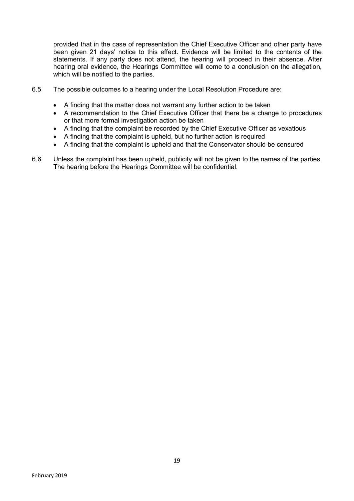provided that in the case of representation the Chief Executive Officer and other party have been given 21 days' notice to this effect. Evidence will be limited to the contents of the statements. If any party does not attend, the hearing will proceed in their absence. After hearing oral evidence, the Hearings Committee will come to a conclusion on the allegation, which will be notified to the parties.

- 6.5 The possible outcomes to a hearing under the Local Resolution Procedure are:
	- A finding that the matter does not warrant any further action to be taken
	- A recommendation to the Chief Executive Officer that there be a change to procedures or that more formal investigation action be taken
	- A finding that the complaint be recorded by the Chief Executive Officer as vexatious
	- A finding that the complaint is upheld, but no further action is required
	- A finding that the complaint is upheld and that the Conservator should be censured
- 6.6 Unless the complaint has been upheld, publicity will not be given to the names of the parties. The hearing before the Hearings Committee will be confidential.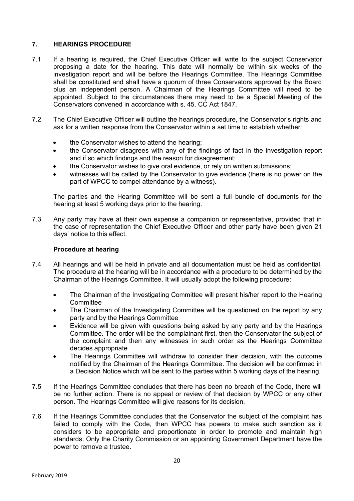## **7. HEARINGS PROCEDURE**

- 7.1 If a hearing is required, the Chief Executive Officer will write to the subject Conservator proposing a date for the hearing. This date will normally be within six weeks of the investigation report and will be before the Hearings Committee. The Hearings Committee shall be constituted and shall have a quorum of three Conservators approved by the Board plus an independent person. A Chairman of the Hearings Committee will need to be appointed. Subject to the circumstances there may need to be a Special Meeting of the Conservators convened in accordance with s. 45. CC Act 1847.
- 7.2 The Chief Executive Officer will outline the hearings procedure, the Conservator's rights and ask for a written response from the Conservator within a set time to establish whether:
	- the Conservator wishes to attend the hearing;
	- the Conservator disagrees with any of the findings of fact in the investigation report and if so which findings and the reason for disagreement;
	- the Conservator wishes to give oral evidence, or rely on written submissions;
	- witnesses will be called by the Conservator to give evidence (there is no power on the part of WPCC to compel attendance by a witness).

The parties and the Hearing Committee will be sent a full bundle of documents for the hearing at least 5 working days prior to the hearing.

7.3 Any party may have at their own expense a companion or representative, provided that in the case of representation the Chief Executive Officer and other party have been given 21 days' notice to this effect.

#### **Procedure at hearing**

- 7.4 All hearings and will be held in private and all documentation must be held as confidential. The procedure at the hearing will be in accordance with a procedure to be determined by the Chairman of the Hearings Committee. It will usually adopt the following procedure:
	- The Chairman of the Investigating Committee will present his/her report to the Hearing **Committee**
	- The Chairman of the Investigating Committee will be questioned on the report by any party and by the Hearings Committee
	- Evidence will be given with questions being asked by any party and by the Hearings Committee. The order will be the complainant first, then the Conservator the subject of the complaint and then any witnesses in such order as the Hearings Committee decides appropriate
	- The Hearings Committee will withdraw to consider their decision, with the outcome notified by the Chairman of the Hearings Committee. The decision will be confirmed in a Decision Notice which will be sent to the parties within 5 working days of the hearing.
- 7.5 If the Hearings Committee concludes that there has been no breach of the Code, there will be no further action. There is no appeal or review of that decision by WPCC or any other person. The Hearings Committee will give reasons for its decision.
- 7.6 If the Hearings Committee concludes that the Conservator the subject of the complaint has failed to comply with the Code, then WPCC has powers to make such sanction as it considers to be appropriate and proportionate in order to promote and maintain high standards. Only the Charity Commission or an appointing Government Department have the power to remove a trustee.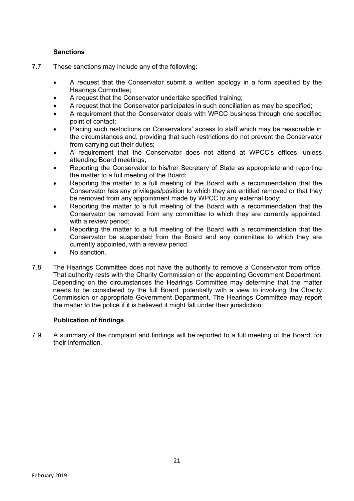# **Sanctions**

- 7.7 These sanctions may include any of the following:
	- A request that the Conservator submit a written apology in a form specified by the Hearings Committee;
	- A request that the Conservator undertake specified training;
	- A request that the Conservator participates in such conciliation as may be specified;
	- A requirement that the Conservator deals with WPCC business through one specified point of contact;
	- Placing such restrictions on Conservators' access to staff which may be reasonable in the circumstances and, providing that such restrictions do not prevent the Conservator from carrying out their duties;
	- A requirement that the Conservator does not attend at WPCC's offices, unless attending Board meetings;
	- Reporting the Conservator to his/her Secretary of State as appropriate and reporting the matter to a full meeting of the Board;
	- Reporting the matter to a full meeting of the Board with a recommendation that the Conservator has any privileges/position to which they are entitled removed or that they be removed from any appointment made by WPCC to any external body;
	- Reporting the matter to a full meeting of the Board with a recommendation that the Conservator be removed from any committee to which they are currently appointed, with a review period;
	- Reporting the matter to a full meeting of the Board with a recommendation that the Conservator be suspended from the Board and any committee to which they are currently appointed, with a review period.
	- No sanction.
- 7.8 The Hearings Committee does not have the authority to remove a Conservator from office. That authority rests with the Charity Commission or the appointing Government Department. Depending on the circumstances the Hearings Committee may determine that the matter needs to be considered by the full Board, potentially with a view to involving the Charity Commission or appropriate Government Department. The Hearings Committee may report the matter to the police if it is believed it might fall under their jurisdiction.

## **Publication of findings**

7.9 A summary of the complaint and findings will be reported to a full meeting of the Board, for their information.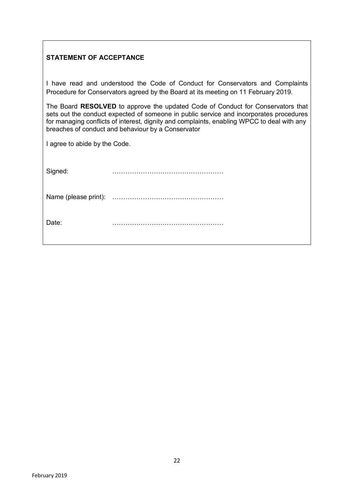# **STATEMENT OF ACCEPTANCE**

I have read and understood the Code of Conduct for Conservators and Complaints Procedure for Conservators agreed by the Board at its meeting on 11 February 2019.

The Board **RESOLVED** to approve the updated Code of Conduct for Conservators that sets out the conduct expected of someone in public service and incorporates procedures for managing conflicts of interest, dignity and complaints, enabling WPCC to deal with any breaches of conduct and behaviour by a Conservator

I agree to abide by the Code.

Name (please print): ……………………………………………

Date: ……………………………………………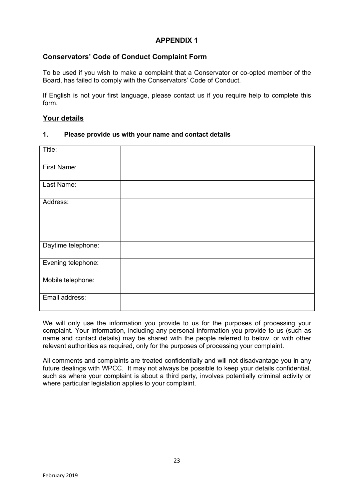# **APPENDIX 1**

# **Conservators' Code of Conduct Complaint Form**

To be used if you wish to make a complaint that a Conservator or co-opted member of the Board, has failed to comply with the Conservators' Code of Conduct.

If English is not your first language, please contact us if you require help to complete this form.

## **Your details**

## **1. Please provide us with your name and contact details**

| Title:             |  |
|--------------------|--|
|                    |  |
|                    |  |
| First Name:        |  |
|                    |  |
|                    |  |
| Last Name:         |  |
|                    |  |
|                    |  |
| Address:           |  |
|                    |  |
|                    |  |
|                    |  |
|                    |  |
|                    |  |
|                    |  |
|                    |  |
| Daytime telephone: |  |
|                    |  |
|                    |  |
| Evening telephone: |  |
|                    |  |
|                    |  |
| Mobile telephone:  |  |
|                    |  |
|                    |  |
| Email address:     |  |
|                    |  |
|                    |  |
|                    |  |

We will only use the information you provide to us for the purposes of processing your complaint. Your information, including any personal information you provide to us (such as name and contact details) may be shared with the people referred to below, or with other relevant authorities as required, only for the purposes of processing your complaint.

All comments and complaints are treated confidentially and will not disadvantage you in any future dealings with WPCC. It may not always be possible to keep your details confidential, such as where your complaint is about a third party, involves potentially criminal activity or where particular legislation applies to your complaint.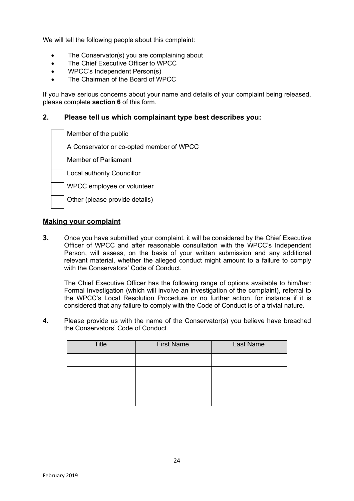We will tell the following people about this complaint:

- The Conservator(s) you are complaining about
- The Chief Executive Officer to WPCC
- WPCC's Independent Person(s)
- The Chairman of the Board of WPCC

If you have serious concerns about your name and details of your complaint being released, please complete **section 6** of this form.

## **2. Please tell us which complainant type best describes you:**

| Member of the public                     |
|------------------------------------------|
| A Conservator or co-opted member of WPCC |
| <b>Member of Parliament</b>              |
| <b>Local authority Councillor</b>        |
| WPCC employee or volunteer               |
| Other (please provide details)           |

#### **Making your complaint**

**3.** Once you have submitted your complaint, it will be considered by the Chief Executive Officer of WPCC and after reasonable consultation with the WPCC's Independent Person, will assess, on the basis of your written submission and any additional relevant material, whether the alleged conduct might amount to a failure to comply with the Conservators' Code of Conduct.

The Chief Executive Officer has the following range of options available to him/her: Formal Investigation (which will involve an investigation of the complaint), referral to the WPCC's Local Resolution Procedure or no further action, for instance if it is considered that any failure to comply with the Code of Conduct is of a trivial nature.

**4.** Please provide us with the name of the Conservator(s) you believe have breached the Conservators' Code of Conduct.

| <b>Title</b> | <b>First Name</b> | Last Name |
|--------------|-------------------|-----------|
|              |                   |           |
|              |                   |           |
|              |                   |           |
|              |                   |           |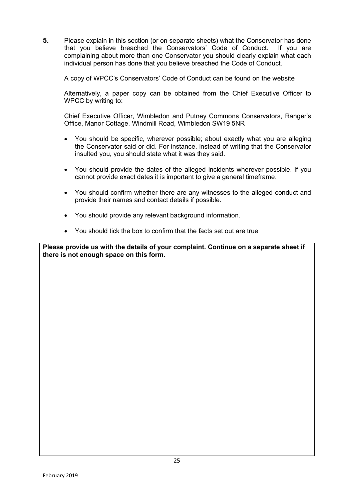**5.** Please explain in this section (or on separate sheets) what the Conservator has done that you believe breached the Conservators' Code of Conduct. If you are complaining about more than one Conservator you should clearly explain what each individual person has done that you believe breached the Code of Conduct.

A copy of WPCC's Conservators' Code of Conduct can be found on the website

Alternatively, a paper copy can be obtained from the Chief Executive Officer to WPCC by writing to:

Chief Executive Officer, Wimbledon and Putney Commons Conservators, Ranger's Office, Manor Cottage, Windmill Road, Wimbledon SW19 5NR

- You should be specific, wherever possible; about exactly what you are alleging the Conservator said or did. For instance, instead of writing that the Conservator insulted you, you should state what it was they said.
- You should provide the dates of the alleged incidents wherever possible. If you cannot provide exact dates it is important to give a general timeframe.
- You should confirm whether there are any witnesses to the alleged conduct and provide their names and contact details if possible.
- You should provide any relevant background information.
- You should tick the box to confirm that the facts set out are true

**Please provide us with the details of your complaint. Continue on a separate sheet if there is not enough space on this form.**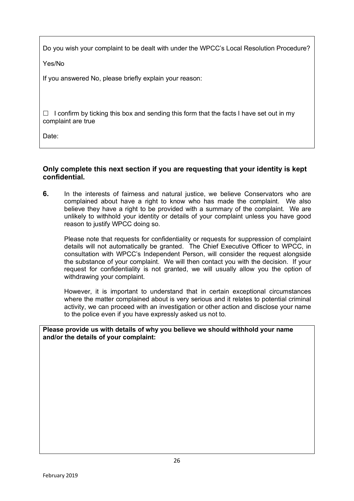Do you wish your complaint to be dealt with under the WPCC's Local Resolution Procedure?

Yes/No

If you answered No, please briefly explain your reason:

 $\Box$  I confirm by ticking this box and sending this form that the facts I have set out in my complaint are true

Date:

# **Only complete this next section if you are requesting that your identity is kept confidential.**

**6.** In the interests of fairness and natural justice, we believe Conservators who are complained about have a right to know who has made the complaint. We also believe they have a right to be provided with a summary of the complaint. We are unlikely to withhold your identity or details of your complaint unless you have good reason to justify WPCC doing so.

Please note that requests for confidentiality or requests for suppression of complaint details will not automatically be granted. The Chief Executive Officer to WPCC, in consultation with WPCC's Independent Person, will consider the request alongside the substance of your complaint. We will then contact you with the decision. If your request for confidentiality is not granted, we will usually allow you the option of withdrawing your complaint.

However, it is important to understand that in certain exceptional circumstances where the matter complained about is very serious and it relates to potential criminal activity, we can proceed with an investigation or other action and disclose your name to the police even if you have expressly asked us not to.

**Please provide us with details of why you believe we should withhold your name and/or the details of your complaint:**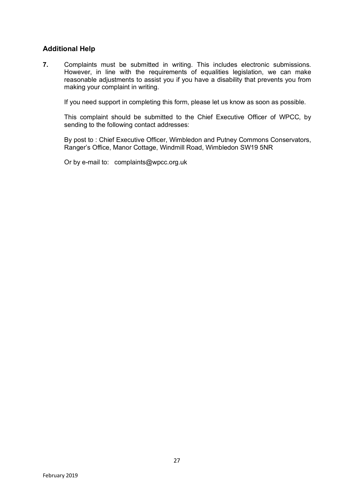# **Additional Help**

**7.** Complaints must be submitted in writing. This includes electronic submissions. However, in line with the requirements of equalities legislation, we can make reasonable adjustments to assist you if you have a disability that prevents you from making your complaint in writing.

If you need support in completing this form, please let us know as soon as possible.

This complaint should be submitted to the Chief Executive Officer of WPCC, by sending to the following contact addresses:

By post to : Chief Executive Officer, Wimbledon and Putney Commons Conservators, Ranger's Office, Manor Cottage, Windmill Road, Wimbledon SW19 5NR

Or by e-mail to: complaints@wpcc.org.uk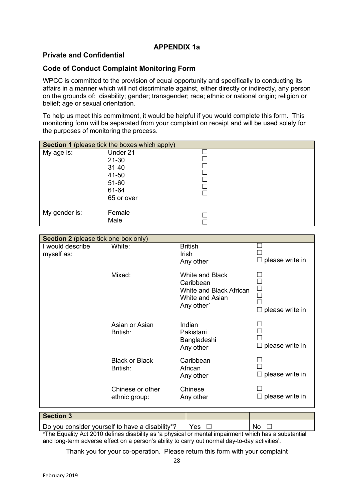# **APPENDIX 1a**

# **Private and Confidential**

## **Code of Conduct Complaint Monitoring Form**

WPCC is committed to the provision of equal opportunity and specifically to conducting its affairs in a manner which will not discriminate against, either directly or indirectly, any person on the grounds of: disability; gender; transgender; race; ethnic or national origin; religion or belief; age or sexual orientation.

To help us meet this commitment, it would be helpful if you would complete this form. This monitoring form will be separated from your complaint on receipt and will be used solely for the purposes of monitoring the process.

| <b>Section 1</b> (please tick the boxes which apply) |                                                                             |  |  |
|------------------------------------------------------|-----------------------------------------------------------------------------|--|--|
| My age is:                                           | Under 21<br>$21 - 30$<br>$31 - 40$<br>41-50<br>51-60<br>61-64<br>65 or over |  |  |
| My gender is:                                        | Female<br>Male                                                              |  |  |

| <b>Section 2</b> (please tick one box only) |                                   |                                                                                                 |                                  |
|---------------------------------------------|-----------------------------------|-------------------------------------------------------------------------------------------------|----------------------------------|
| I would describe<br>myself as:              | White:                            | <b>British</b><br><b>Irish</b><br>Any other                                                     | $\Box$ please write in           |
|                                             | Mixed:                            | <b>White and Black</b><br>Caribbean<br>White and Black African<br>White and Asian<br>Any other` | $\Box$<br>$\Box$ please write in |
|                                             | Asian or Asian<br>British:        | Indian<br>Pakistani<br>Bangladeshi<br>Any other                                                 | $\Box$ please write in           |
|                                             | <b>Black or Black</b><br>British: | Caribbean<br>African<br>Any other                                                               | $\Box$ please write in           |
|                                             | Chinese or other<br>ethnic group: | Chinese<br>Any other                                                                            | $\Box$ please write in           |
| <b>Section 3</b>                            |                                   |                                                                                                 |                                  |

| .                                                                                                     |      |
|-------------------------------------------------------------------------------------------------------|------|
| Do you consider yourself to have a disability*? $\Box$ Yes $\Box$                                     | No D |
| *The Equality Act 2010 defines disability as 'a physical or mental impairment which has a substantial |      |

and long-term adverse effect on a person's ability to carry out normal day-to-day activities'.

Thank you for your co-operation. Please return this form with your complaint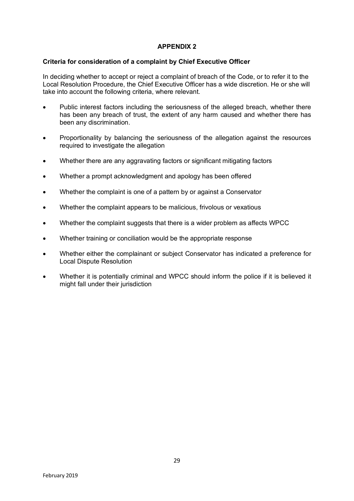## **APPENDIX 2**

## **Criteria for consideration of a complaint by Chief Executive Officer**

In deciding whether to accept or reject a complaint of breach of the Code, or to refer it to the Local Resolution Procedure, the Chief Executive Officer has a wide discretion. He or she will take into account the following criteria, where relevant.

- Public interest factors including the seriousness of the alleged breach, whether there has been any breach of trust, the extent of any harm caused and whether there has been any discrimination.
- Proportionality by balancing the seriousness of the allegation against the resources required to investigate the allegation
- Whether there are any aggravating factors or significant mitigating factors
- Whether a prompt acknowledgment and apology has been offered
- Whether the complaint is one of a pattern by or against a Conservator
- Whether the complaint appears to be malicious, frivolous or vexatious
- Whether the complaint suggests that there is a wider problem as affects WPCC
- Whether training or conciliation would be the appropriate response
- Whether either the complainant or subject Conservator has indicated a preference for Local Dispute Resolution
- Whether it is potentially criminal and WPCC should inform the police if it is believed it might fall under their jurisdiction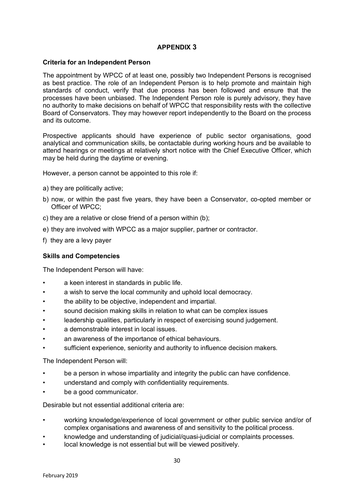## **APPENDIX 3**

#### **Criteria for an Independent Person**

The appointment by WPCC of at least one, possibly two Independent Persons is recognised as best practice. The role of an Independent Person is to help promote and maintain high standards of conduct, verify that due process has been followed and ensure that the processes have been unbiased. The Independent Person role is purely advisory, they have no authority to make decisions on behalf of WPCC that responsibility rests with the collective Board of Conservators. They may however report independently to the Board on the process and its outcome.

Prospective applicants should have experience of public sector organisations, good analytical and communication skills, be contactable during working hours and be available to attend hearings or meetings at relatively short notice with the Chief Executive Officer, which may be held during the daytime or evening.

However, a person cannot be appointed to this role if:

- a) they are politically active;
- b) now, or within the past five years, they have been a Conservator, co-opted member or Officer of WPCC;
- c) they are a relative or close friend of a person within (b);
- e) they are involved with WPCC as a major supplier, partner or contractor.
- f) they are a levy payer

## **Skills and Competencies**

The Independent Person will have:

- a keen interest in standards in public life.
- a wish to serve the local community and uphold local democracy.
- the ability to be objective, independent and impartial.
- sound decision making skills in relation to what can be complex issues
- leadership qualities, particularly in respect of exercising sound judgement.
- a demonstrable interest in local issues.
- an awareness of the importance of ethical behaviours.
- sufficient experience, seniority and authority to influence decision makers.

The Independent Person will:

- be a person in whose impartiality and integrity the public can have confidence.
- understand and comply with confidentiality requirements.
- be a good communicator.

Desirable but not essential additional criteria are:

- working knowledge/experience of local government or other public service and/or of complex organisations and awareness of and sensitivity to the political process.
- knowledge and understanding of judicial/quasi-judicial or complaints processes.
- local knowledge is not essential but will be viewed positively.